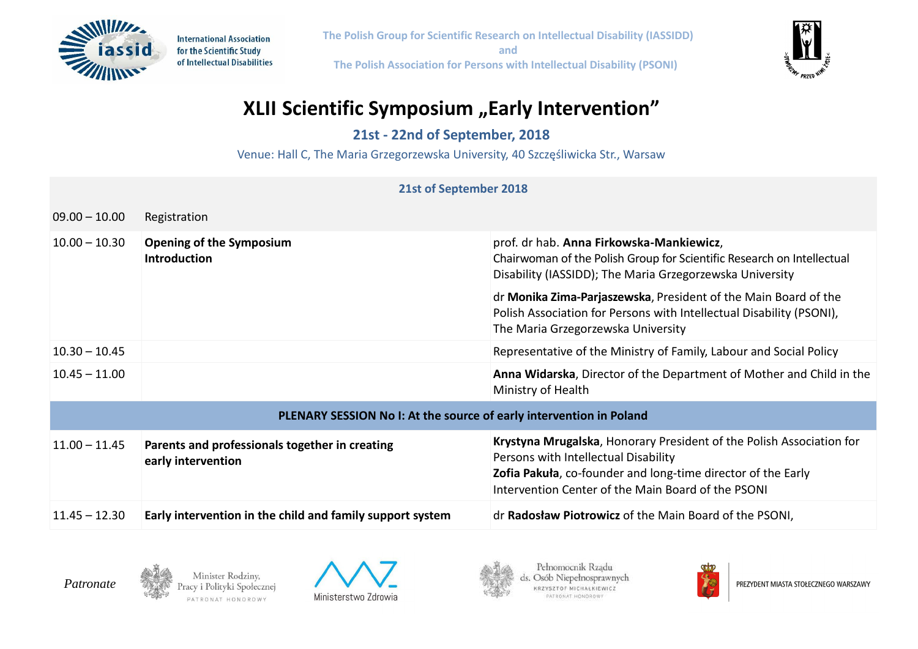

**International Association** for the Scientific Study of Intellectual Disabilities **The Polish Group for Scientific Research on Intellectual Disability (IASSIDD) and The Polish Association for Persons with Intellectual Disability (PSONI)**



## **XLII Scientific Symposium** "Early Intervention"

**21st - 22nd of September, 2018**

Venue: Hall C, The Maria Grzegorzewska University, 40 Szczęśliwicka Str., Warsaw

## **21st of September 2018** 09.00 – 10.00 Registration 10.00 – 10.30 **Opening of the Symposium Introduction** prof. dr hab. **Anna Firkowska-Mankiewicz**, Chairwoman of the Polish Group for Scientific Research on Intellectual Disability (IASSIDD); The Maria Grzegorzewska University dr **Monika Zima-Parjaszewska**, President of the Main Board of the Polish Association for Persons with Intellectual Disability (PSONI), The Maria Grzegorzewska University 10.30 – 10.45 Representative of the Ministry of Family, Labour and Social Policy 10.45 – 11.00 **Anna Widarska**, Director of the Department of Mother and Child in the Ministry of Health **PLENARY SESSION No I: At the source of early intervention in Poland** 11.00 – 11.45 **Parents and professionals together in creating early intervention Krystyna Mrugalska**, Honorary President of the Polish Association for Persons with Intellectual Disability **Zofia Pakuła**, co-founder and long-time director of the Early Intervention Center of the Main Board of the PSONI 11.45 – 12.30 **Early intervention in the child and family support system** dr **Radosław Piotrowicz** of the Main Board of the PSONI,



Minister Rodziny, racy i Polityki Społecznej PATRONAT HONOROWY







PREZYDENT MIASTA STOŁECZNEGO WARSZAWY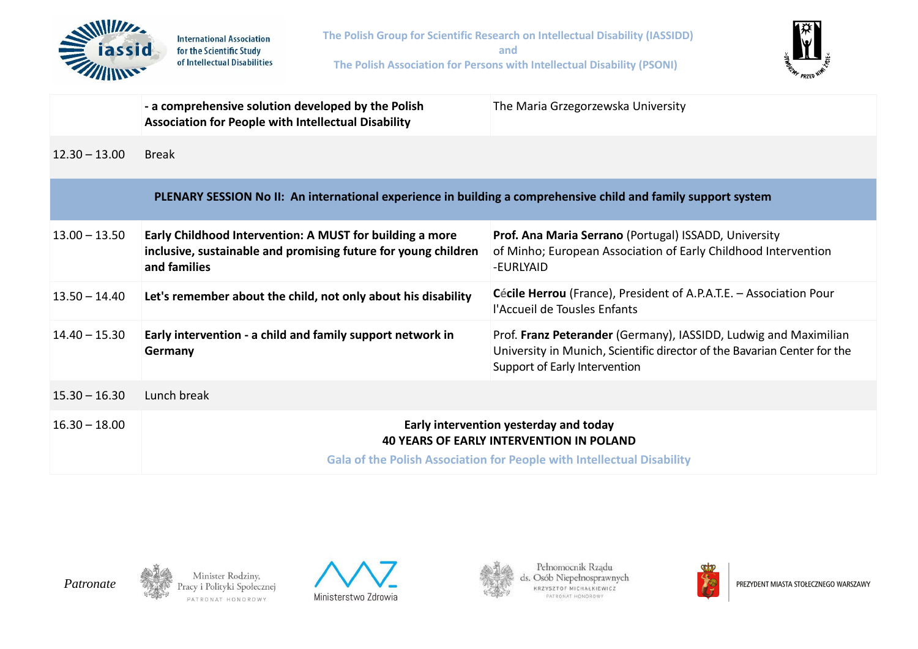

| PLENARY SESSION No II: An international experience in building a comprehensive child and family support system |                                                                                                                                            |                                                                                                                                                                               |  |  |  |
|----------------------------------------------------------------------------------------------------------------|--------------------------------------------------------------------------------------------------------------------------------------------|-------------------------------------------------------------------------------------------------------------------------------------------------------------------------------|--|--|--|
| $13.00 - 13.50$                                                                                                | Early Childhood Intervention: A MUST for building a more<br>inclusive, sustainable and promising future for young children<br>and families | Prof. Ana Maria Serrano (Portugal) ISSADD, University<br>of Minho; European Association of Early Childhood Intervention<br>-EURLYAID                                          |  |  |  |
| $13.50 - 14.40$                                                                                                | Let's remember about the child, not only about his disability                                                                              | Cécile Herrou (France), President of A.P.A.T.E. - Association Pour<br>l'Accueil de Tousles Enfants                                                                            |  |  |  |
| $14.40 - 15.30$                                                                                                | Early intervention - a child and family support network in<br>Germany                                                                      | Prof. Franz Peterander (Germany), IASSIDD, Ludwig and Maximilian<br>University in Munich, Scientific director of the Bavarian Center for the<br>Support of Early Intervention |  |  |  |
| $15.30 - 16.30$                                                                                                | Lunch break                                                                                                                                |                                                                                                                                                                               |  |  |  |
| $16.30 - 18.00$                                                                                                | Early intervention yesterday and today<br><b>40 YEARS OF EARLY INTERVENTION IN POLAND</b>                                                  |                                                                                                                                                                               |  |  |  |
|                                                                                                                | <b>Gala of the Polish Association for People with Intellectual Disability</b>                                                              |                                                                                                                                                                               |  |  |  |



 $12.30 - 13.00$ 

**Break** 

**Association for People with Intellectual Disability** 





Pełnomocnik Rządu ds. Osób Niepełnosprawnych KRZYSZTOF MICHAŁKIEWICZ PATRONAT HONOROWY



PREZYDENT MIASTA STOŁECZNEGO WARSZAWY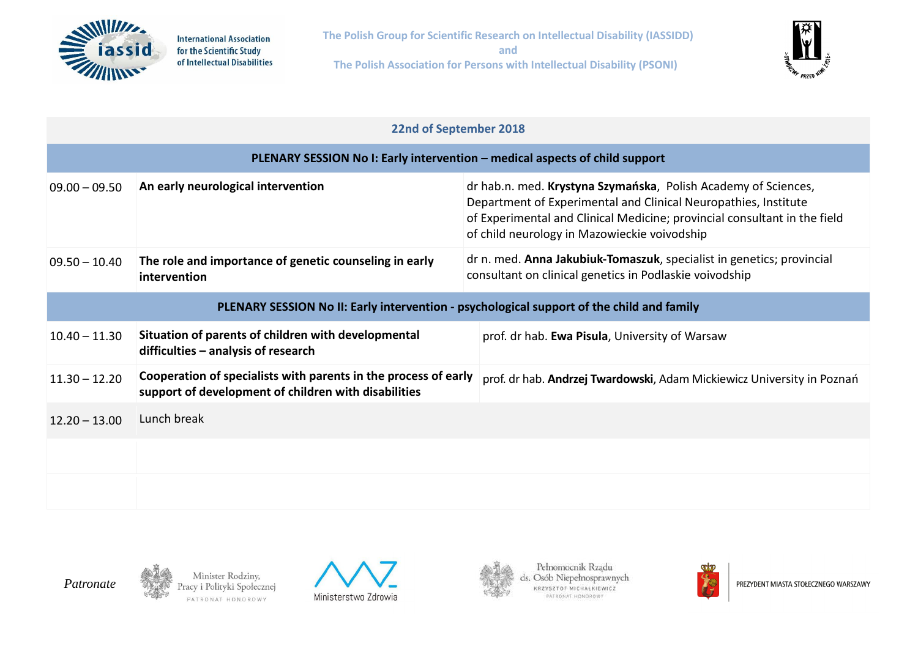



## **22nd of September 2018**

| PLENARY SESSION No I: Early intervention – medical aspects of child support               |                                                                                                                         |                                                                                                                                                                                                                                                                |  |  |  |  |
|-------------------------------------------------------------------------------------------|-------------------------------------------------------------------------------------------------------------------------|----------------------------------------------------------------------------------------------------------------------------------------------------------------------------------------------------------------------------------------------------------------|--|--|--|--|
| $09.00 - 09.50$                                                                           | An early neurological intervention                                                                                      | dr hab.n. med. Krystyna Szymańska, Polish Academy of Sciences,<br>Department of Experimental and Clinical Neuropathies, Institute<br>of Experimental and Clinical Medicine; provincial consultant in the field<br>of child neurology in Mazowieckie voivodship |  |  |  |  |
| $09.50 - 10.40$                                                                           | The role and importance of genetic counseling in early<br>intervention                                                  | dr n. med. Anna Jakubiuk-Tomaszuk, specialist in genetics; provincial<br>consultant on clinical genetics in Podlaskie voivodship                                                                                                                               |  |  |  |  |
| PLENARY SESSION No II: Early intervention - psychological support of the child and family |                                                                                                                         |                                                                                                                                                                                                                                                                |  |  |  |  |
| $10.40 - 11.30$                                                                           | Situation of parents of children with developmental<br>difficulties - analysis of research                              | prof. dr hab. Ewa Pisula, University of Warsaw                                                                                                                                                                                                                 |  |  |  |  |
| $11.30 - 12.20$                                                                           | Cooperation of specialists with parents in the process of early<br>support of development of children with disabilities | prof. dr hab. Andrzej Twardowski, Adam Mickiewicz University in Poznań                                                                                                                                                                                         |  |  |  |  |
| $12.20 - 13.00$                                                                           | Lunch break                                                                                                             |                                                                                                                                                                                                                                                                |  |  |  |  |
|                                                                                           |                                                                                                                         |                                                                                                                                                                                                                                                                |  |  |  |  |
|                                                                                           |                                                                                                                         |                                                                                                                                                                                                                                                                |  |  |  |  |









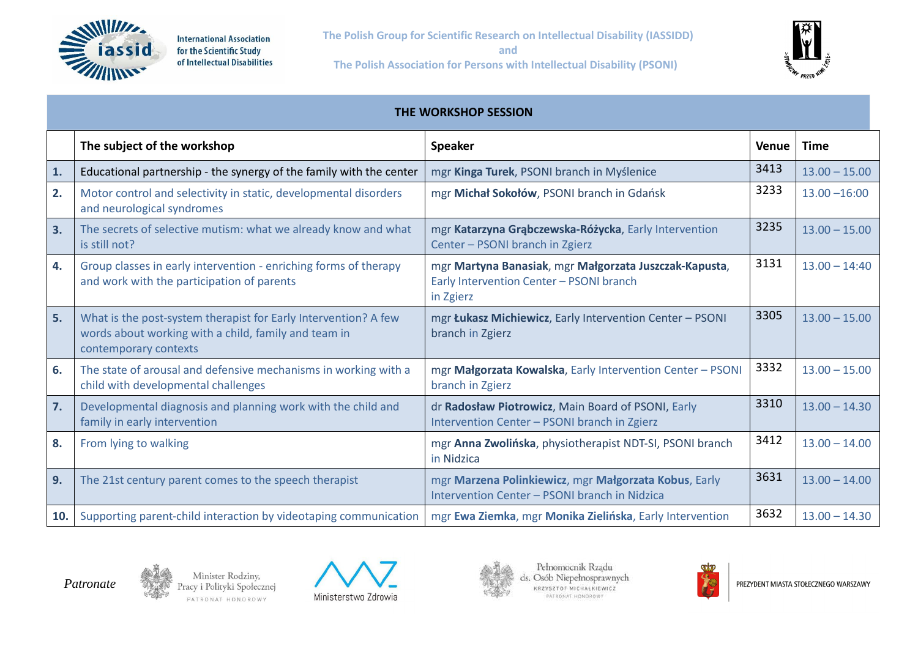



| THE WORKSHOP SESSION |                                                                                                                                                  |                                                                                                                 |       |                 |  |  |  |
|----------------------|--------------------------------------------------------------------------------------------------------------------------------------------------|-----------------------------------------------------------------------------------------------------------------|-------|-----------------|--|--|--|
|                      | The subject of the workshop                                                                                                                      | <b>Speaker</b>                                                                                                  | Venue | <b>Time</b>     |  |  |  |
| 1.                   | Educational partnership - the synergy of the family with the center                                                                              | mgr Kinga Turek, PSONI branch in Myślenice                                                                      | 3413  | $13.00 - 15.00$ |  |  |  |
| 2.                   | Motor control and selectivity in static, developmental disorders<br>and neurological syndromes                                                   | mgr Michał Sokołów, PSONI branch in Gdańsk                                                                      | 3233  | $13.00 - 16:00$ |  |  |  |
| 3.                   | The secrets of selective mutism: what we already know and what<br>is still not?                                                                  | mgr Katarzyna Grąbczewska-Różycka, Early Intervention<br>Center - PSONI branch in Zgierz                        | 3235  | $13.00 - 15.00$ |  |  |  |
| 4.                   | Group classes in early intervention - enriching forms of therapy<br>and work with the participation of parents                                   | mgr Martyna Banasiak, mgr Małgorzata Juszczak-Kapusta,<br>Early Intervention Center - PSONI branch<br>in Zgierz | 3131  | $13.00 - 14:40$ |  |  |  |
| 5.                   | What is the post-system therapist for Early Intervention? A few<br>words about working with a child, family and team in<br>contemporary contexts | mgr Łukasz Michiewicz, Early Intervention Center - PSONI<br>branch in Zgierz                                    | 3305  | $13.00 - 15.00$ |  |  |  |
| 6.                   | The state of arousal and defensive mechanisms in working with a<br>child with developmental challenges                                           | mgr Małgorzata Kowalska, Early Intervention Center - PSONI<br>branch in Zgierz                                  | 3332  | $13.00 - 15.00$ |  |  |  |
| 7.                   | Developmental diagnosis and planning work with the child and<br>family in early intervention                                                     | dr Radosław Piotrowicz, Main Board of PSONI, Early<br>Intervention Center - PSONI branch in Zgierz              | 3310  | $13.00 - 14.30$ |  |  |  |
| 8.                   | From lying to walking                                                                                                                            | mgr Anna Zwolińska, physiotherapist NDT-SI, PSONI branch<br>in Nidzica                                          | 3412  | $13.00 - 14.00$ |  |  |  |
| 9.                   | The 21st century parent comes to the speech therapist                                                                                            | mgr Marzena Polinkiewicz, mgr Małgorzata Kobus, Early<br>Intervention Center - PSONI branch in Nidzica          | 3631  | $13.00 - 14.00$ |  |  |  |
| 10.                  | Supporting parent-child interaction by videotaping communication                                                                                 | mgr Ewa Ziemka, mgr Monika Zielińska, Early Intervention                                                        | 3632  | $13.00 - 14.30$ |  |  |  |



Minister Rodziny,<br>Pracy i Polityki Społecznej PATRONAT HONOROWY